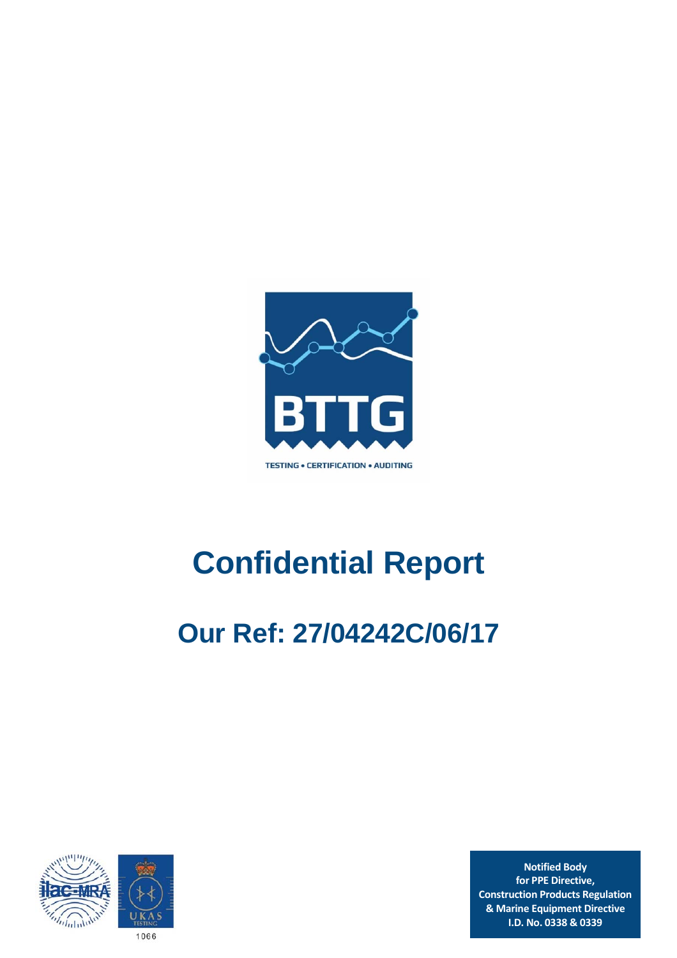

# **Confidential Report**

**Our Ref: 27/04242C/06/17** 



**Notified Body for PPE Directive, Construction Products Regulation & Marine Equipment Directive I.D. No. 0338 & 0339**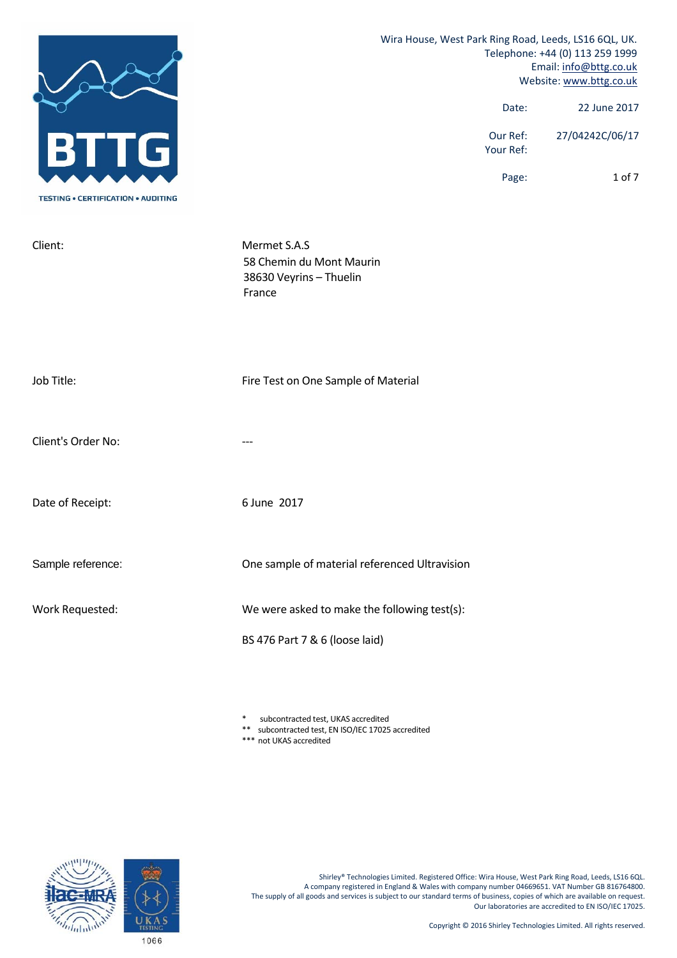|                                           | Wira House, West Park Ring Road, Leeds, LS16 6QL, UK.<br>Telephone: +44 (0) 113 259 1999<br>Email: info@bttg.co.uk<br>Website: www.bttg.co.uk |                       |                 |  |
|-------------------------------------------|-----------------------------------------------------------------------------------------------------------------------------------------------|-----------------------|-----------------|--|
|                                           |                                                                                                                                               | Date:                 | 22 June 2017    |  |
| B<br>G                                    |                                                                                                                                               | Our Ref:<br>Your Ref: | 27/04242C/06/17 |  |
| <b>TESTING • CERTIFICATION • AUDITING</b> |                                                                                                                                               | Page:                 | 1 of 7          |  |
| Client:                                   | Mermet S.A.S<br>58 Chemin du Mont Maurin<br>38630 Veyrins - Thuelin<br>France                                                                 |                       |                 |  |
| Job Title:                                | Fire Test on One Sample of Material                                                                                                           |                       |                 |  |
| Client's Order No:                        | ---                                                                                                                                           |                       |                 |  |
| Date of Receipt:                          | 6 June 2017                                                                                                                                   |                       |                 |  |
| Sample reference:                         | One sample of material referenced Ultravision                                                                                                 |                       |                 |  |
| Work Requested:                           | We were asked to make the following test(s):                                                                                                  |                       |                 |  |
|                                           | BS 476 Part 7 & 6 (loose laid)                                                                                                                |                       |                 |  |
|                                           |                                                                                                                                               |                       |                 |  |

\* subcontracted test, UKAS accredited

\*\* subcontracted test, EN ISO/IEC 17025 accredited

\*\*\* not UKAS accredited

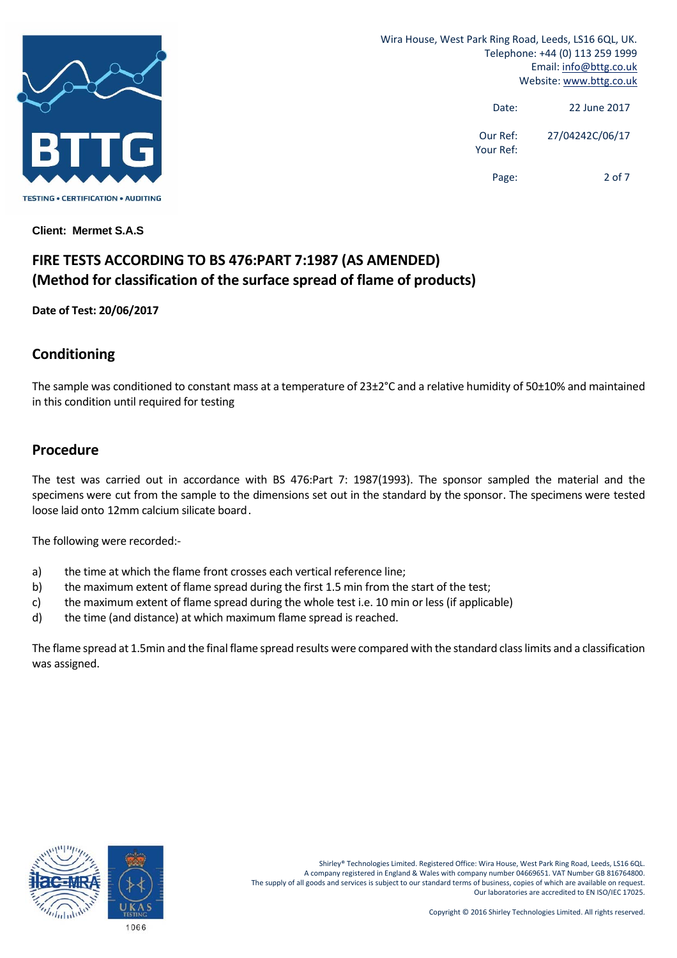

> Date: 22 June 2017 Our Ref: 27/04242C/06/17 Your Ref:

Page: 2 of 7

**Client: Mermet S.A.S** 

## **FIRE TESTS ACCORDING TO BS 476:PART 7:1987 (AS AMENDED) (Method for classification of the surface spread of flame of products)**

**Date of Test: 20/06/2017**

## **Conditioning**

The sample was conditioned to constant mass at a temperature of 23±2°C and a relative humidity of 50±10% and maintained in this condition until required for testing

## **Procedure**

The test was carried out in accordance with BS 476:Part 7: 1987(1993). The sponsor sampled the material and the specimens were cut from the sample to the dimensions set out in the standard by the sponsor. The specimens were tested loose laid onto 12mm calcium silicate board.

The following were recorded:‐

- a) the time at which the flame front crosses each vertical reference line;
- b) the maximum extent of flame spread during the first 1.5 min from the start of the test;
- c) the maximum extent of flame spread during the whole test i.e. 10 min or less (if applicable)
- d) the time (and distance) at which maximum flame spread is reached.

The flame spread at 1.5min and the final flame spread results were compared with the standard class limits and a classification was assigned.

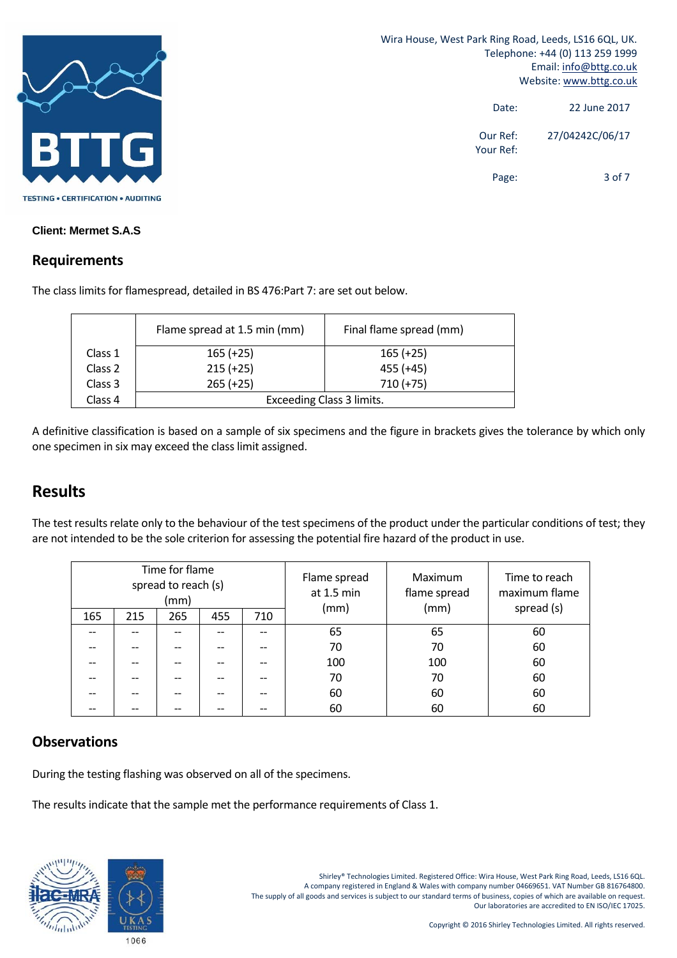

> Date: 22 June 2017 Our Ref: 27/04242C/06/17 Your Ref: Page: 3 of 7

**Client: Mermet S.A.S** 

### **Requirements**

The class limits for flamespread, detailed in BS 476:Part 7: are set out below.

|         | Flame spread at 1.5 min (mm)     | Final flame spread (mm) |  |  |
|---------|----------------------------------|-------------------------|--|--|
| Class 1 | $165 (+25)$                      | $165 (+25)$             |  |  |
| Class 2 | $215 (+25)$                      | $455 (+45)$             |  |  |
| Class 3 | $265 (+25)$                      | $710 (+75)$             |  |  |
| Class 4 | <b>Exceeding Class 3 limits.</b> |                         |  |  |

A definitive classification is based on a sample of six specimens and the figure in brackets gives the tolerance by which only one specimen in six may exceed the class limit assigned.

# **Results**

The test results relate only to the behaviour of the test specimens of the product under the particular conditions of test; they are not intended to be the sole criterion for assessing the potential fire hazard of the product in use.

| Time for flame<br>spread to reach (s)<br>(mm) |     | Flame spread<br>at 1.5 min<br>(mm) | Maximum<br>flame spread<br>(mm) | Time to reach<br>maximum flame |     |     |            |
|-----------------------------------------------|-----|------------------------------------|---------------------------------|--------------------------------|-----|-----|------------|
| 165                                           | 215 | 265                                | 455                             | 710                            |     |     | spread (s) |
|                                               |     |                                    |                                 |                                | 65  | 65  | 60         |
|                                               |     |                                    |                                 |                                | 70  | 70  | 60         |
|                                               |     |                                    |                                 |                                | 100 | 100 | 60         |
|                                               |     |                                    |                                 |                                | 70  | 70  | 60         |
|                                               |     | --                                 |                                 |                                | 60  | 60  | 60         |
|                                               |     |                                    |                                 |                                | 60  | 60  | 60         |

## **Observations**

During the testing flashing was observed on all of the specimens.

The results indicate that the sample met the performance requirements of Class 1.

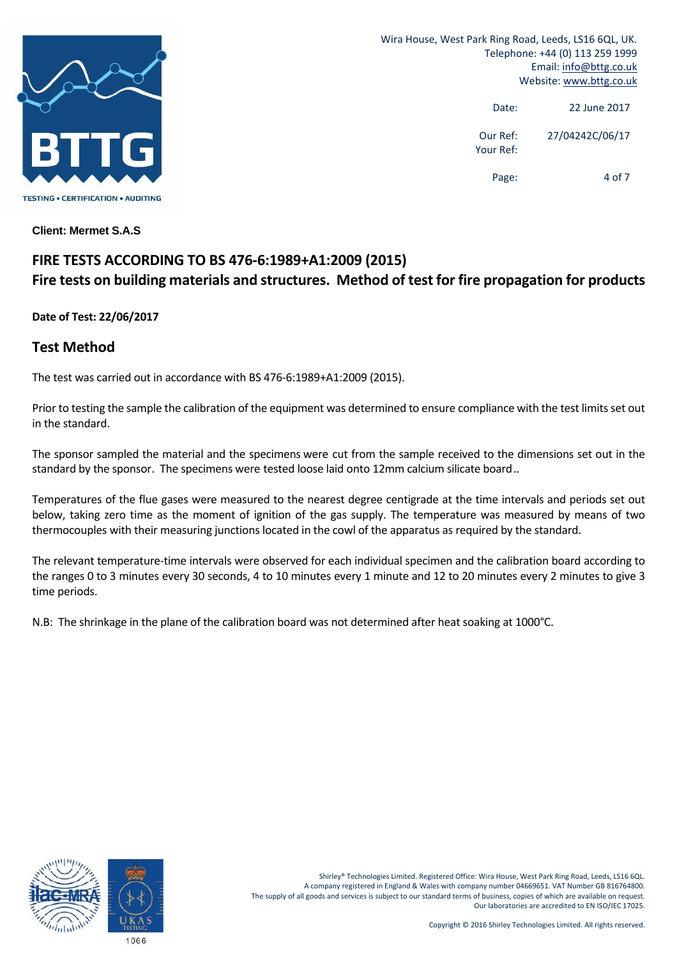

> Date: 22 June 2017 Our Ref: 27/04242C/06/17 Your Ref:

> > Page: 4 of 7

**Client: Mermet S.A.S** 

# **FIRE TESTS ACCORDING TO BS 476‐6:1989+A1:2009 (2015) Fire tests on building materials and structures. Method of test for fire propagation for products**

#### **Date of Test: 22/06/2017**

#### **Test Method**

The test was carried out in accordance with BS 476‐6:1989+A1:2009 (2015).

Prior to testing the sample the calibration of the equipment was determined to ensure compliance with the test limits set out in the standard.

The sponsor sampled the material and the specimens were cut from the sample received to the dimensions set out in the standard by the sponsor. The specimens were tested loose laid onto 12mm calcium silicate board..

Temperatures of the flue gases were measured to the nearest degree centigrade at the time intervals and periods set out below, taking zero time as the moment of ignition of the gas supply. The temperature was measured by means of two thermocouples with their measuring junctions located in the cowl of the apparatus as required by the standard.

The relevant temperature‐time intervals were observed for each individual specimen and the calibration board according to the ranges 0 to 3 minutes every 30 seconds, 4 to 10 minutes every 1 minute and 12 to 20 minutes every 2 minutes to give 3 time periods.

N.B: The shrinkage in the plane of the calibration board was not determined after heat soaking at 1000°C.

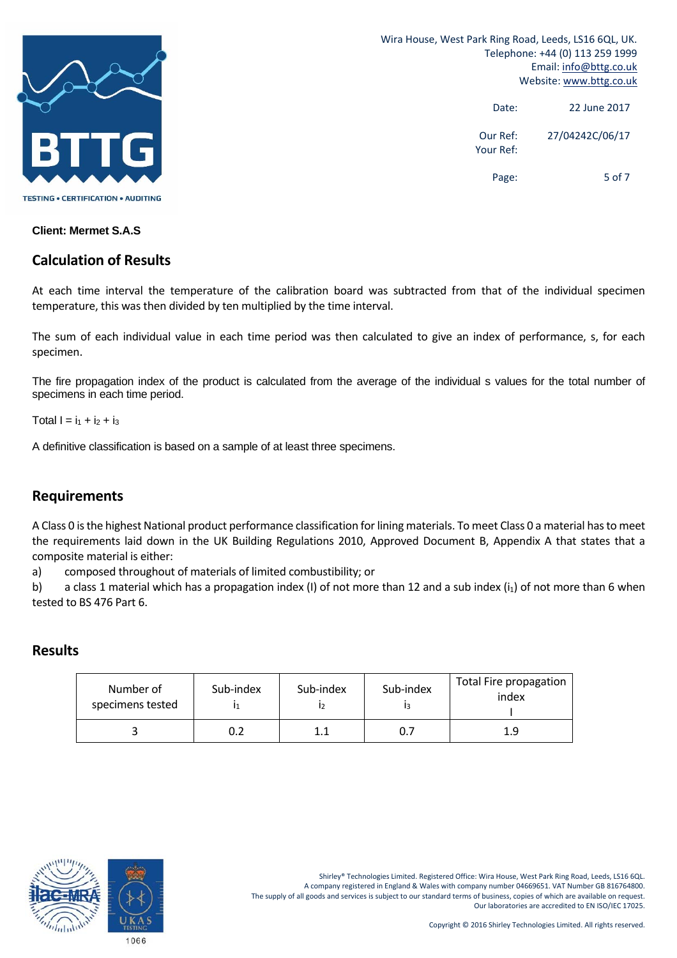

> Date: 22 June 2017 Our Ref: 27/04242C/06/17 Your Ref: Page: 5 of 7

**Client: Mermet S.A.S** 

### **Calculation of Results**

At each time interval the temperature of the calibration board was subtracted from that of the individual specimen temperature, this was then divided by ten multiplied by the time interval.

The sum of each individual value in each time period was then calculated to give an index of performance, s, for each specimen.

The fire propagation index of the product is calculated from the average of the individual s values for the total number of specimens in each time period.

Total  $I = i_1 + i_2 + i_3$ 

A definitive classification is based on a sample of at least three specimens.

### **Requirements**

A Class 0 isthe highest National product performance classification forlining materials. To meet Class 0 a material hasto meet the requirements laid down in the UK Building Regulations 2010, Approved Document B, Appendix A that states that a composite material is either:

a) composed throughout of materials of limited combustibility; or

b) a class 1 material which has a propagation index (I) of not more than 12 and a sub index  $(i_1)$  of not more than 6 when tested to BS 476 Part 6.

### **Results**

| Number of<br>specimens tested | Sub-index | Sub-index | Sub-index | Total Fire propagation<br>index |
|-------------------------------|-----------|-----------|-----------|---------------------------------|
|                               | 0.2       |           | 0.7       | 1.9                             |

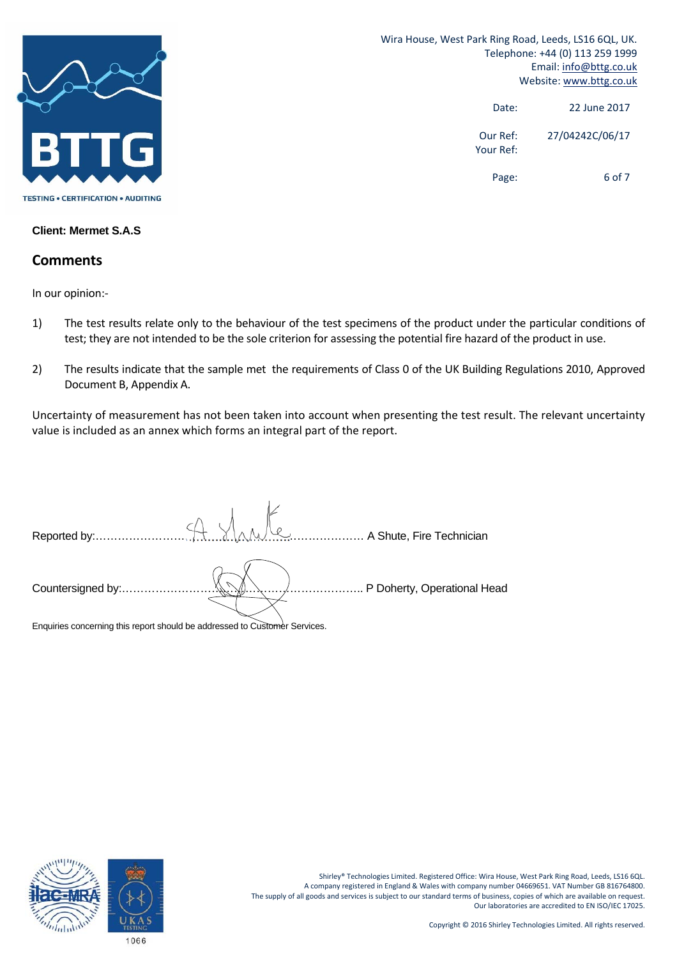

> Date: 22 June 2017 Our Ref: 27/04242C/06/17 Your Ref: Page: 6 of 7

**Client: Mermet S.A.S** 

### **Comments**

In our opinion:‐

- 1) The test results relate only to the behaviour of the test specimens of the product under the particular conditions of test; they are not intended to be the sole criterion for assessing the potential fire hazard of the product in use.
- 2) The results indicate that the sample met the requirements of Class 0 of the UK Building Regulations 2010, Approved Document B, Appendix A.

Uncertainty of measurement has not been taken into account when presenting the test result. The relevant uncertainty value is included as an annex which forms an integral part of the report.

|                   |                                                                            | A Shute, Fire Technician    |
|-------------------|----------------------------------------------------------------------------|-----------------------------|
|                   |                                                                            |                             |
| Countersigned by: |                                                                            | P Doherty, Operational Head |
|                   | Enquiries concerning this report should be addressed to Customer Services. |                             |